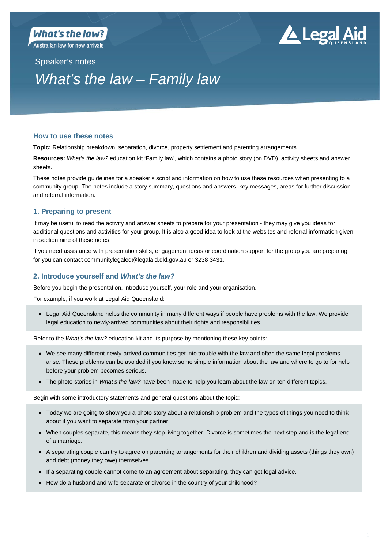**Australian law for new arrivals** 

# . Legal Aid

# Speaker's notes *What's the law – Family law*

# **How to use these notes**

**Topic:** Relationship breakdown, separation, divorce, property settlement and parenting arrangements.

**Resources:** *What's the law?* education kit 'Family law', which contains a photo story (on DVD), activity sheets and answer sheets.

These notes provide guidelines for a speaker's script and information on how to use these resources when presenting to a community group. The notes include a story summary, questions and answers, key messages, areas for further discussion and referral information.

# **1. Preparing to present**

It may be useful to read the activity and answer sheets to prepare for your presentation - they may give you ideas for additional questions and activities for your group. It is also a good idea to look at the websites and referral information given in section nine of these notes.

If you need assistance with presentation skills, engagement ideas or coordination support for the group you are preparing for you can contact communitylegaled@legalaid.qld.gov.au or 3238 3431.

# **2. Introduce yourself and** *What's the law?*

Before you begin the presentation, introduce yourself, your role and your organisation.

For example, if you work at Legal Aid Queensland:

 Legal Aid Queensland helps the community in many different ways if people have problems with the law. We provide legal education to newly-arrived communities about their rights and responsibilities.

Refer to the *What's the law?* education kit and its purpose by mentioning these key points:

- We see many different newly-arrived communities get into trouble with the law and often the same legal problems arise. These problems can be avoided if you know some simple information about the law and where to go to for help before your problem becomes serious.
- The photo stories in *What's the law?* have been made to help you learn about the law on ten different topics.

Begin with some introductory statements and general questions about the topic:

- Today we are going to show you a photo story about a relationship problem and the types of things you need to think about if you want to separate from your partner.
- When couples separate, this means they stop living together. Divorce is sometimes the next step and is the legal end of a marriage.
- A separating couple can try to agree on parenting arrangements for their children and dividing assets (things they own) and debt (money they owe) themselves.
- If a separating couple cannot come to an agreement about separating, they can get legal advice.
- How do a husband and wife separate or divorce in the country of your childhood?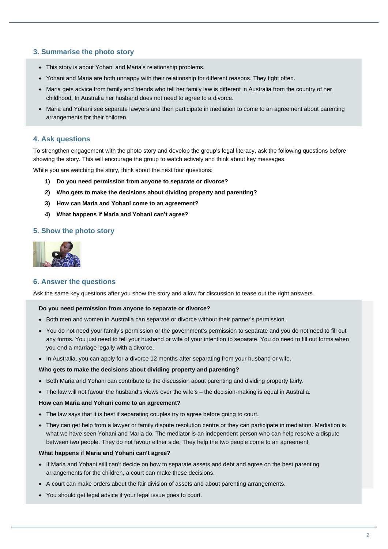# **3. Summarise the photo story**

- This story is about Yohani and Maria's relationship problems.
- Yohani and Maria are both unhappy with their relationship for different reasons. They fight often.
- Maria gets advice from family and friends who tell her family law is different in Australia from the country of her childhood. In Australia her husband does not need to agree to a divorce.
- Maria and Yohani see separate lawyers and then participate in mediation to come to an agreement about parenting arrangements for their children.

# **4. Ask questions**

To strengthen engagement with the photo story and develop the group's legal literacy, ask the following questions before showing the story. This will encourage the group to watch actively and think about key messages.

While you are watching the story, think about the next four questions:

- **1) Do you need permission from anyone to separate or divorce?**
- **2) Who gets to make the decisions about dividing property and parenting?**
- **3) How can Maria and Yohani come to an agreement?**
- **4) What happens if Maria and Yohani can't agree?**

# **5. Show the photo story**



# **6. Answer the questions**

Ask the same key questions after you show the story and allow for discussion to tease out the right answers.

#### **Do you need permission from anyone to separate or divorce?**

- Both men and women in Australia can separate or divorce without their partner's permission.
- You do not need your family's permission or the government's permission to separate and you do not need to fill out any forms. You just need to tell your husband or wife of your intention to separate. You do need to fill out forms when you end a marriage legally with a divorce.
- In Australia, you can apply for a divorce 12 months after separating from your husband or wife.

#### **Who gets to make the decisions about dividing property and parenting?**

- Both Maria and Yohani can contribute to the discussion about parenting and dividing property fairly.
- The law will not favour the husband's views over the wife's the decision-making is equal in Australia.

#### **How can Maria and Yohani come to an agreement?**

- The law says that it is best if separating couples try to agree before going to court.
- They can get help from a lawyer or family dispute resolution centre or they can participate in mediation. Mediation is what we have seen Yohani and Maria do. The mediator is an independent person who can help resolve a dispute between two people. They do not favour either side. They help the two people come to an agreement.

#### **What happens if Maria and Yohani can't agree?**

- If Maria and Yohani still can't decide on how to separate assets and debt and agree on the best parenting arrangements for the children, a court can make these decisions.
- A court can make orders about the fair division of assets and about parenting arrangements.
- You should get legal advice if your legal issue goes to court.